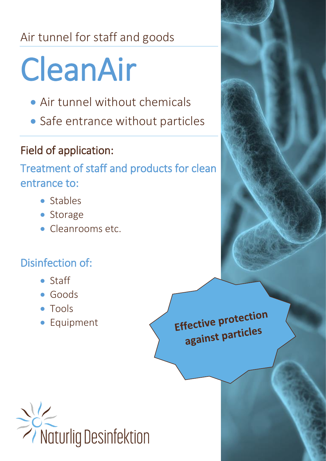## Air tunnel for staff and goods

# CleanAir

- Air tunnel without chemicals
- Safe entrance without particles

## Field of application:

Treatment of staff and products for clean entrance to:

- Stables
- Storage
- Cleanrooms etc.

### Disinfection of:

- Staff
- Goods
- Tools
- Equipment

Effective protection against particles